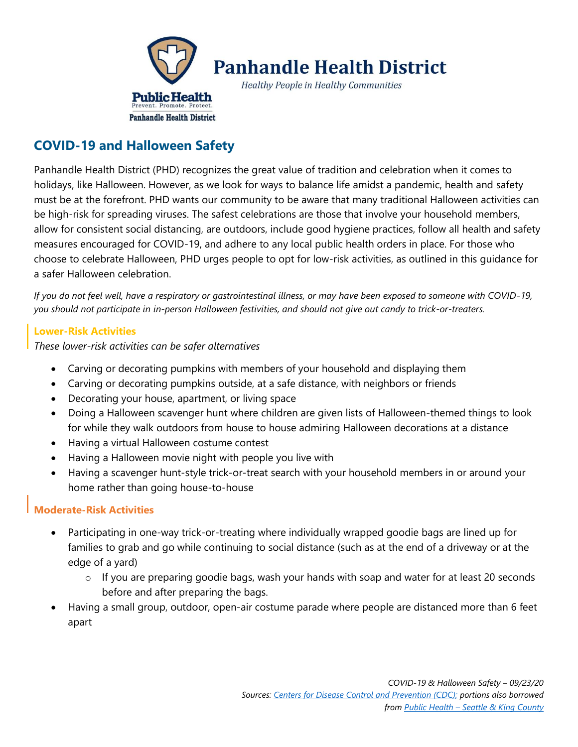

# **Panhandle Health District**

**Healthy People in Healthy Communities** 

## **COVID-19 and Halloween Safety**

Panhandle Health District (PHD) recognizes the great value of tradition and celebration when it comes to holidays, like Halloween. However, as we look for ways to balance life amidst a pandemic, health and safety must be at the forefront. PHD wants our community to be aware that many traditional Halloween activities can be high-risk for spreading viruses. The safest celebrations are those that involve your household members, allow for consistent social distancing, are outdoors, include good hygiene practices, follow all health and safety measures encouraged for COVID-19, and adhere to any local public health orders in place. For those who choose to celebrate Halloween, PHD urges people to opt for low-risk activities, as outlined in this guidance for a safer Halloween celebration.

*If you do not feel well, have a respiratory or gastrointestinal illness, or may have been exposed to someone with COVID-19, you should not participate in in-person Halloween festivities, and should not give out candy to trick-or-treaters.*

#### **Lower-Risk Activities**

*These lower-risk activities can be safer alternatives*

- Carving or decorating pumpkins with members of your household and displaying them
- Carving or decorating pumpkins outside, at a safe distance, with neighbors or friends
- Decorating your house, apartment, or living space
- Doing a Halloween scavenger hunt where children are given lists of Halloween-themed things to look for while they walk outdoors from house to house admiring Halloween decorations at a distance
- Having a virtual Halloween costume contest
- Having a Halloween movie night with people you live with
- Having a scavenger hunt-style trick-or-treat search with your household members in or around your home rather than going house-to-house

#### **Moderate-Risk Activities**

- Participating in one-way trick-or-treating where individually wrapped goodie bags are lined up for families to grab and go while continuing to social distance (such as at the end of a driveway or at the edge of a yard)
	- $\circ$  If you are preparing goodie bags, wash your hands with soap and water for at least 20 seconds before and after preparing the bags.
- Having a small group, outdoor, open-air costume parade where people are distanced more than 6 feet apart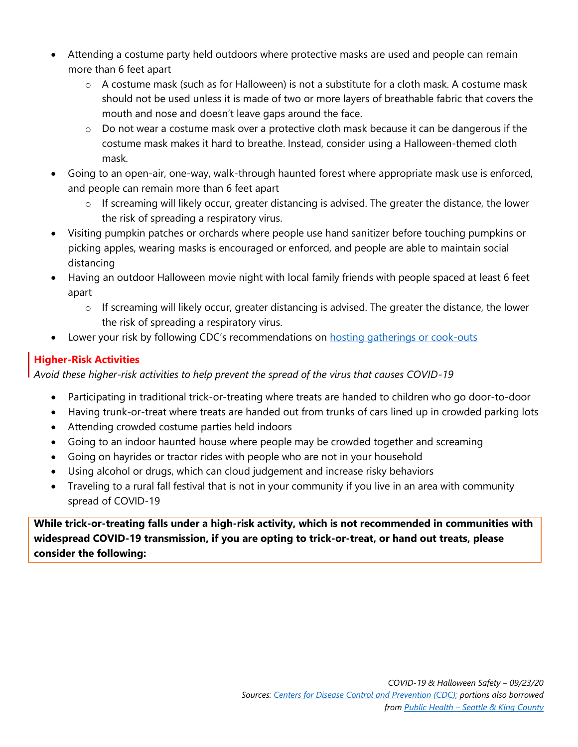- Attending a costume party held outdoors where protective masks are used and people can remain more than 6 feet apart
	- $\circ$  A costume mask (such as for Halloween) is not a substitute for a cloth mask. A costume mask should not be used unless it is made of two or more layers of breathable fabric that covers the mouth and nose and doesn't leave gaps around the face.
	- $\circ$  Do not wear a costume mask over a protective cloth mask because it can be dangerous if the costume mask makes it hard to breathe. Instead, consider using a Halloween-themed cloth mask.
- Going to an open-air, one-way, walk-through haunted forest where appropriate mask use is enforced, and people can remain more than 6 feet apart
	- $\circ$  If screaming will likely occur, greater distancing is advised. The greater the distance, the lower the risk of spreading a respiratory virus.
- Visiting pumpkin patches or orchards where people use hand sanitizer before touching pumpkins or picking apples, wearing masks is encouraged or enforced, and people are able to maintain social distancing
- Having an outdoor Halloween movie night with local family friends with people spaced at least 6 feet apart
	- $\circ$  If screaming will likely occur, greater distancing is advised. The greater the distance, the lower the risk of spreading a respiratory virus.
- Lower your risk by following CDC's recommendations on **[hosting gatherings or cook-outs](https://www.cdc.gov/coronavirus/2019-ncov/daily-life-coping/personal-social-activities.html#:~:text=Attending%20an%20event%20or%20gathering,-Prepare%20before%20you&text=Prioritize%20attending%20outdoor%20activities%20over,%25%20alcohol%2C%20and%20drinking%20water.)**

### **Higher-Risk Activities**

*Avoid these higher-risk activities to help prevent the spread of the virus that causes COVID-19*

- Participating in traditional trick-or-treating where treats are handed to children who go door-to-door
- Having trunk-or-treat where treats are handed out from trunks of cars lined up in crowded parking lots
- Attending crowded costume parties held indoors
- Going to an indoor haunted house where people may be crowded together and screaming
- Going on hayrides or tractor rides with people who are not in your household
- Using alcohol or drugs, which can cloud judgement and increase risky behaviors
- Traveling to a rural fall festival that is not in your community if you live in an area with community spread of COVID-19

**While trick-or-treating falls under a high-risk activity, which is not recommended in communities with widespread COVID-19 transmission, if you are opting to trick-or-treat, or hand out treats, please consider the following:**